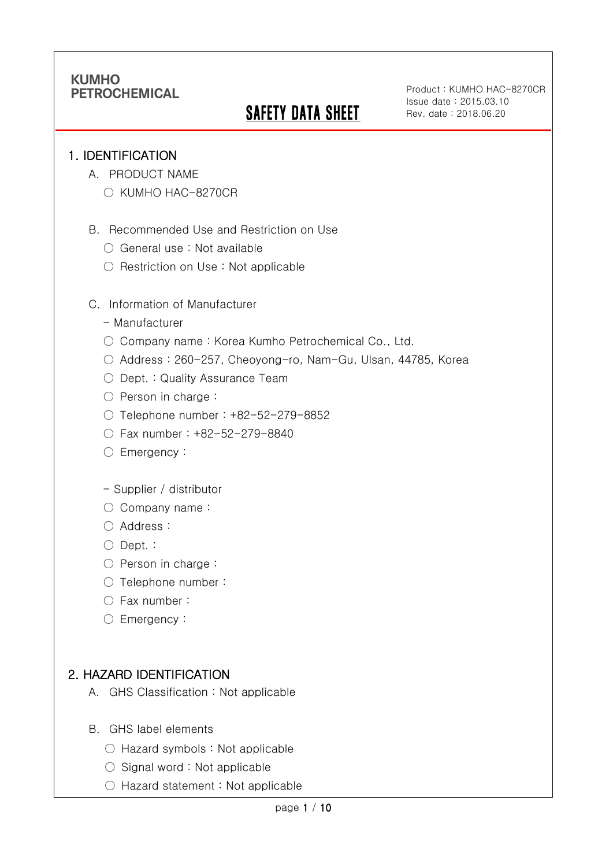# **SAFETY DATA SHEET**

Product : KUMHO HAC-8270CR Issue date : 2015.03.10 Rev. date : 2018.06.20

### 1. IDENTIFICATION

Ī

- A. PRODUCT NAME
	- KUMHO HAC-8270CR
- B. Recommended Use and Restriction on Use
	- General use : Not available
	- Restriction on Use : Not applicable
- C. Information of Manufacturer
	- Manufacturer
	- Company name: Korea Kumho Petrochemical Co., Ltd.
	- Address : 260-257, Cheoyong-ro, Nam-Gu, Ulsan, 44785, Korea
	- Dept. : Quality Assurance Team
	- Person in charge :
	- Telephone number : +82-52-279-8852
	- Fax number : +82-52-279-8840
	- Emergency:
	- Supplier / distributor
	- Company name:
	- Address :
	- Dept. :
	- Person in charge :
	- Telephone number :
	- Fax number :
	- Emergency:

## 2. HAZARD IDENTIFICATION

- A. GHS Classification : Not applicable
- B. GHS label elements
	- Hazard symbols : Not applicable
	- $\bigcirc$  Signal word : Not applicable
	- Hazard statement : Not applicable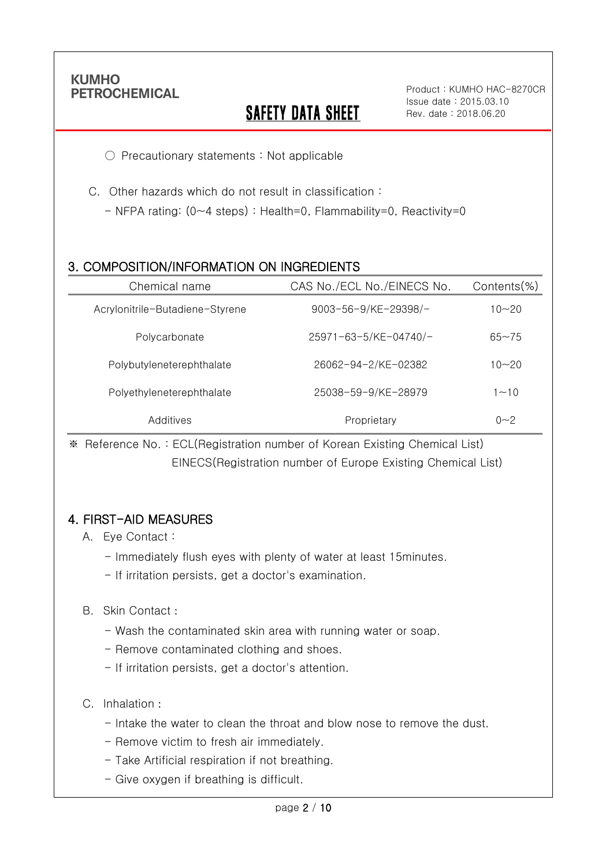Ī

## **SAFETY DATA SHEET**

○ Precautionary statements : Not applicable

- C. Other hazards which do not result in classification :
	- NFPA rating: (0~4 steps) : Health=0, Flammability=0, Reactivity=0

## 3. COMPOSITION/INFORMATION ON INGREDIENTS

| Chemical name                   | CAS No./ECL No./EINECS No.  | Contents $(\%)$ |
|---------------------------------|-----------------------------|-----------------|
| Acrylonitrile-Butadiene-Styrene | $9003 - 56 - 9$ /KE-29398/- | $10 - 20$       |
| Polycarbonate                   | 25971-63-5/KE-04740/-       | $65 - 75$       |
| Polybutyleneterephthalate       | 26062-94-2/KE-02382         | $10 - 20$       |
| Polyethyleneterephthalate       | 25038-59-9/KE-28979         | $1 - 10$        |
| Additives                       | Proprietary                 | $0 - 2$         |

※ Reference No. : ECL(Registration number of Korean Existing Chemical List) EINECS(Registration number of Europe Existing Chemical List)

## 4. FIRST-AID MEASURES

- A. Eye Contact :
	- Immediately flush eyes with plenty of water at least 15minutes.
	- If irritation persists, get a doctor's examination.

#### B. Skin Contact :

- Wash the contaminated skin area with running water or soap.
- Remove contaminated clothing and shoes.
- If irritation persists, get a doctor's attention.

#### C. Inhalation :

- Intake the water to clean the throat and blow nose to remove the dust.
- Remove victim to fresh air immediately.
- Take Artificial respiration if not breathing.
- Give oxygen if breathing is difficult.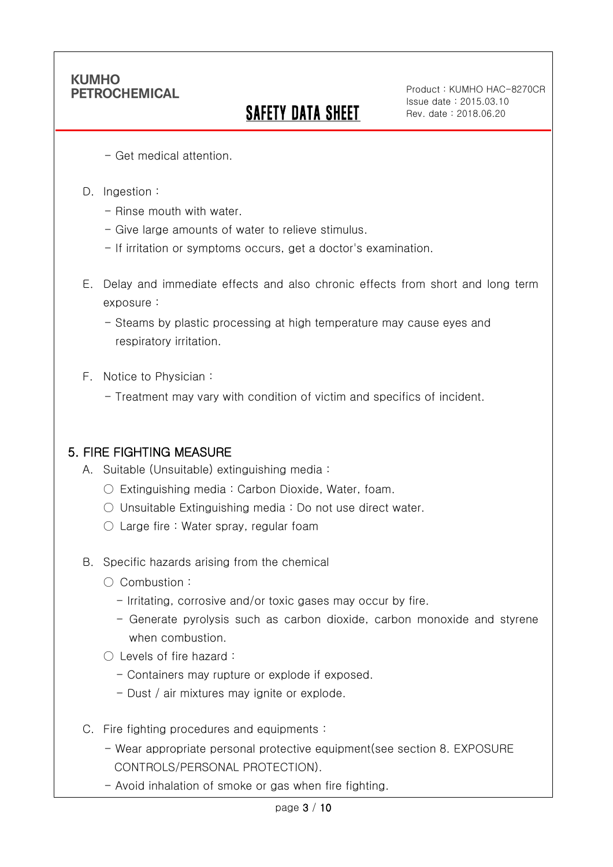# SAFETY DATA SHEET

Product : KUMHO HAC-8270CR Issue date : 2015.03.10 Rev. date : 2018.06.20

- Get medical attention.
- D. Ingestion :

Ī

- Rinse mouth with water
- Give large amounts of water to relieve stimulus.
- If irritation or symptoms occurs, get a doctor's examination.
- E. Delay and immediate effects and also chronic effects from short and long term exposure :
	- Steams by plastic processing at high temperature may cause eyes and respiratory irritation.
- F. Notice to Physician :
	- Treatment may vary with condition of victim and specifics of incident.

### 5. FIRE FIGHTING MEASURE

- A. Suitable (Unsuitable) extinguishing media :
	- Extinguishing media : Carbon Dioxide, Water, foam.
	- $\circ$  Unsuitable Extinguishing media : Do not use direct water.
	- $\circlearrowright$  Large fire : Water spray, regular foam
- B. Specific hazards arising from the chemical
	- Combustion :
		- Irritating, corrosive and/or toxic gases may occur by fire.
		- Generate pyrolysis such as carbon dioxide, carbon monoxide and styrene when combustion.
	- Levels of fire hazard :
		- Containers may rupture or explode if exposed.
		- Dust / air mixtures may ignite or explode.
- C. Fire fighting procedures and equipments :
	- Wear appropriate personal protective equipment(see section 8. EXPOSURE CONTROLS/PERSONAL PROTECTION).
	- Avoid inhalation of smoke or gas when fire fighting.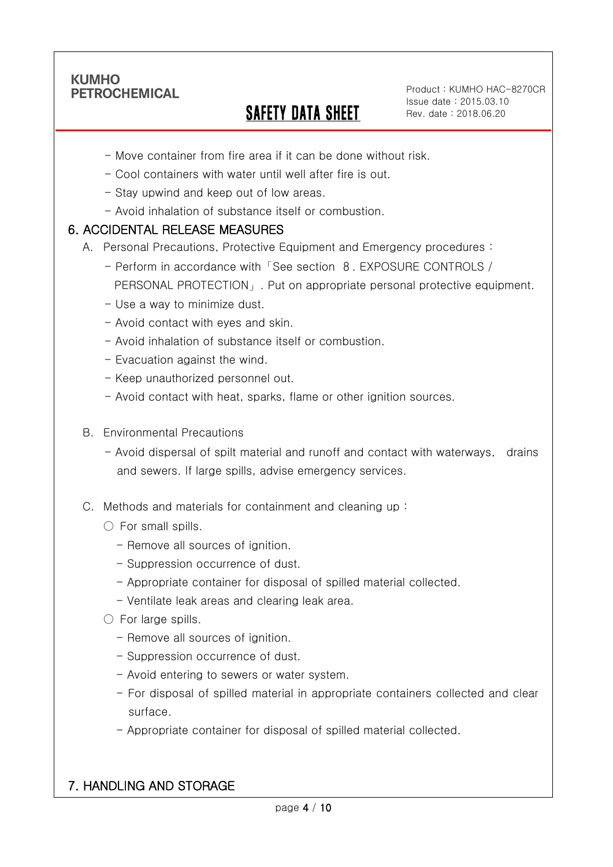Ī

## SAFETY DATA SHEET

Product : KUMHO HAC-8270CR Issue date : 2015.03.10 Rev. date : 2018.06.20

- Move container from fire area if it can be done without risk.
- Cool containers with water until well after fire is out.
- Stay upwind and keep out of low areas.
- Avoid inhalation of substance itself or combustion.

### 6. ACCIDENTAL RELEASE MEASURES

- A. Personal Precautions, Protective Equipment and Emergency procedures :
	- Perform in accordance with「See section 8. EXPOSURE CONTROLS / PERSONAL PROTECTION」. Put on appropriate personal protective equipment.
	- Use a way to minimize dust.
	- Avoid contact with eyes and skin.
	- Avoid inhalation of substance itself or combustion.
	- Evacuation against the wind.
	- Keep unauthorized personnel out.
	- Avoid contact with heat, sparks, flame or other ignition sources.
- B. Environmental Precautions
	- Avoid dispersal of spilt material and runoff and contact with waterways, drains and sewers. If large spills, advise emergency services.
- C. Methods and materials for containment and cleaning up :
	- $\bigcirc$  For small spills.
		- Remove all sources of ignition.
		- Suppression occurrence of dust.
		- Appropriate container for disposal of spilled material collected.
		- Ventilate leak areas and clearing leak area.
	- For large spills.
		- Remove all sources of ignition.
		- Suppression occurrence of dust.
		- Avoid entering to sewers or water system.
		- For disposal of spilled material in appropriate containers collected and clear surface.
		- Appropriate container for disposal of spilled material collected.

## 7. HANDLING AND STORAGE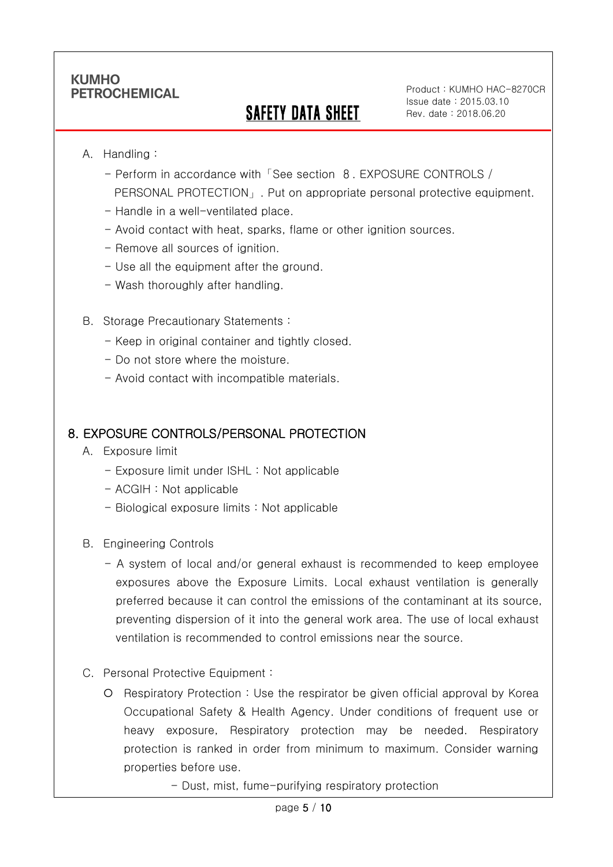## SAFETY DATA SHEET

Product : KUMHO HAC-8270CR Issue date : 2015.03.10 Rev. date : 2018.06.20

#### A. Handling :

Ī

- Perform in accordance with「See section 8. EXPOSURE CONTROLS / PERSONAL PROTECTION」. Put on appropriate personal protective equipment.
- Handle in a well-ventilated place.
- Avoid contact with heat, sparks, flame or other ignition sources.
- Remove all sources of ignition.
- Use all the equipment after the ground.
- Wash thoroughly after handling.
- B. Storage Precautionary Statements :
	- Keep in original container and tightly closed.
	- Do not store where the moisture.
	- Avoid contact with incompatible materials.

### 8. EXPOSURE CONTROLS/PERSONAL PROTECTION

- A. Exposure limit
	- Exposure limit under ISHL : Not applicable
	- ACGIH : Not applicable
	- Biological exposure limits : Not applicable
- B. Engineering Controls
	- A system of local and/or general exhaust is recommended to keep employee exposures above the Exposure Limits. Local exhaust ventilation is generally preferred because it can control the emissions of the contaminant at its source, preventing dispersion of it into the general work area. The use of local exhaust ventilation is recommended to control emissions near the source.
- C. Personal Protective Equipment :
	- Respiratory Protection : Use the respirator be given official approval by Korea Occupational Safety & Health Agency. Under conditions of frequent use or heavy exposure, Respiratory protection may be needed. Respiratory protection is ranked in order from minimum to maximum. Consider warning properties before use.
		- Dust, mist, fume-purifying respiratory protection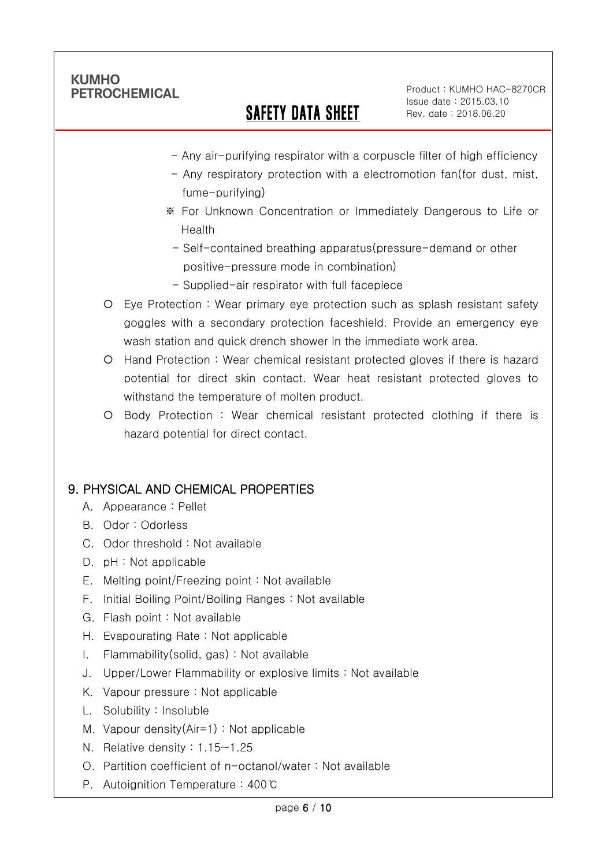Ī

## SAFETY DATA SHEET

Product : KUMHO HAC-8270CR Issue date : 2015.03.10 Rev. date : 2018.06.20

- Any air-purifying respirator with a corpuscle filter of high efficiency
- Any respiratory protection with a electromotion fan(for dust, mist, fume-purifying)
- ※ For Unknown Concentration or Immediately Dangerous to Life or Health
- Self-contained breathing apparatus(pressure-demand or other positive-pressure mode in combination)
- Supplied-air respirator with full facepiece
- Eye Protection : Wear primary eye protection such as splash resistant safety goggles with a secondary protection faceshield. Provide an emergency eye wash station and quick drench shower in the immediate work area.
- Hand Protection : Wear chemical resistant protected gloves if there is hazard potential for direct skin contact. Wear heat resistant protected gloves to withstand the temperature of molten product.
- Body Protection : Wear chemical resistant protected clothing if there is hazard potential for direct contact.

## 9. PHYSICAL AND CHEMICAL PROPERTIES

- A. Appearance : Pellet
- B. Odor : Odorless
- C. Odor threshold : Not available
- D. pH : Not applicable
- E. Melting point/Freezing point : Not available
- F. Initial Boiling Point/Boiling Ranges : Not available
- G. Flash point : Not available
- H. Evapourating Rate : Not applicable
- I. Flammability(solid, gas) : Not available
- J. Upper/Lower Flammability or explosive limits : Not available
- K. Vapour pressure : Not applicable
- L. Solubility : Insoluble
- M. Vapour density(Air=1) : Not applicable
- N. Relative density : 1.15~1.25
- O. Partition coefficient of n-octanol/water : Not available
- P. Autoignition Temperature : 400℃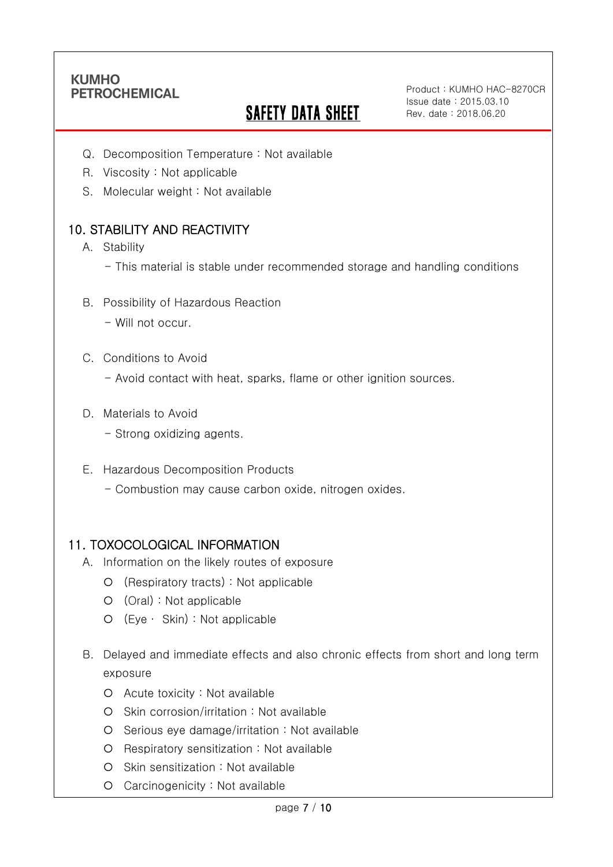Ī

# **SAFETY DATA SHEET**

Product : KUMHO HAC-8270CR Issue date : 2015.03.10 Rev. date : 2018.06.20

- Q. Decomposition Temperature : Not available
- R. Viscosity : Not applicable
- S. Molecular weight : Not available

## 10. STABILITY AND REACTIVITY

- A. Stability
	- This material is stable under recommended storage and handling conditions
- B. Possibility of Hazardous Reaction
	- Will not occur.
- C. Conditions to Avoid
	- Avoid contact with heat, sparks, flame or other ignition sources.
- D. Materials to Avoid
	- Strong oxidizing agents.
- E. Hazardous Decomposition Products
	- Combustion may cause carbon oxide, nitrogen oxides.

#### 11. TOXOCOLOGICAL INFORMATION

- A. Information on the likely routes of exposure
	- (Respiratory tracts) : Not applicable
	- (Oral) : Not applicable
	- (Eye ∙ Skin) : Not applicable
- B. Delayed and immediate effects and also chronic effects from short and long term exposure
	- Acute toxicity : Not available
	- Skin corrosion/irritation : Not available
	- Serious eye damage/irritation : Not available
	- O Respiratory sensitization : Not available
	- O Skin sensitization : Not available
	- Carcinogenicity : Not available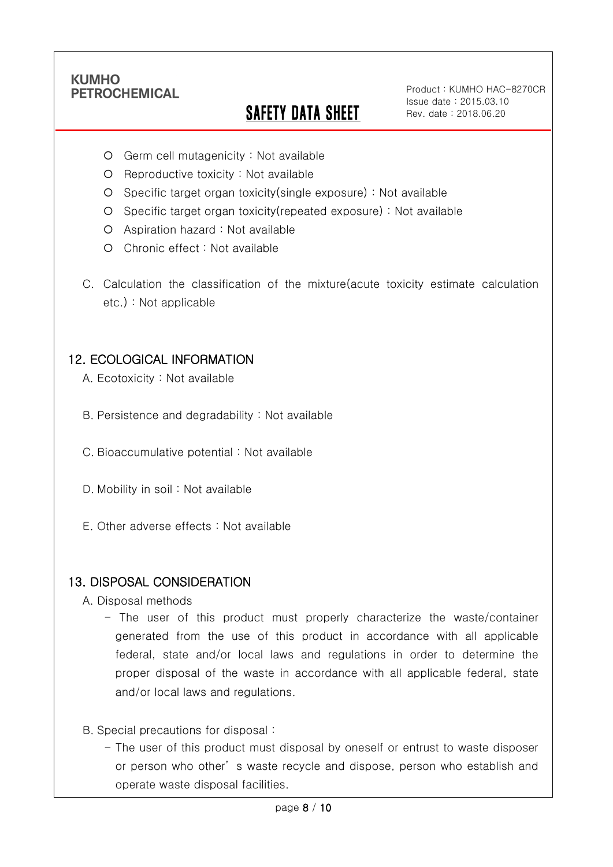Ī

# SAFETY DATA SHEET

Product : KUMHO HAC-8270CR Issue date : 2015.03.10 Rev. date : 2018.06.20

- Germ cell mutagenicity : Not available
- $O$  Reproductive toxicity : Not available
- Specific target organ toxicity(single exposure) : Not available
- Specific target organ toxicity(repeated exposure) : Not available
- Aspiration hazard : Not available
- O Chronic effect : Not available
- C. Calculation the classification of the mixture(acute toxicity estimate calculation etc.) : Not applicable

### 12. ECOLOGICAL INFORMATION

- A. Ecotoxicity : Not available
- B. Persistence and degradability : Not available
- C. Bioaccumulative potential : Not available
- D. Mobility in soil : Not available
- E. Other adverse effects : Not available

#### 13. DISPOSAL CONSIDERATION

- A. Disposal methods
	- The user of this product must properly characterize the waste/container generated from the use of this product in accordance with all applicable federal, state and/or local laws and regulations in order to determine the proper disposal of the waste in accordance with all applicable federal, state and/or local laws and regulations.
- B. Special precautions for disposal :
	- The user of this product must disposal by oneself or entrust to waste disposer or person who other' s waste recycle and dispose, person who establish and operate waste disposal facilities.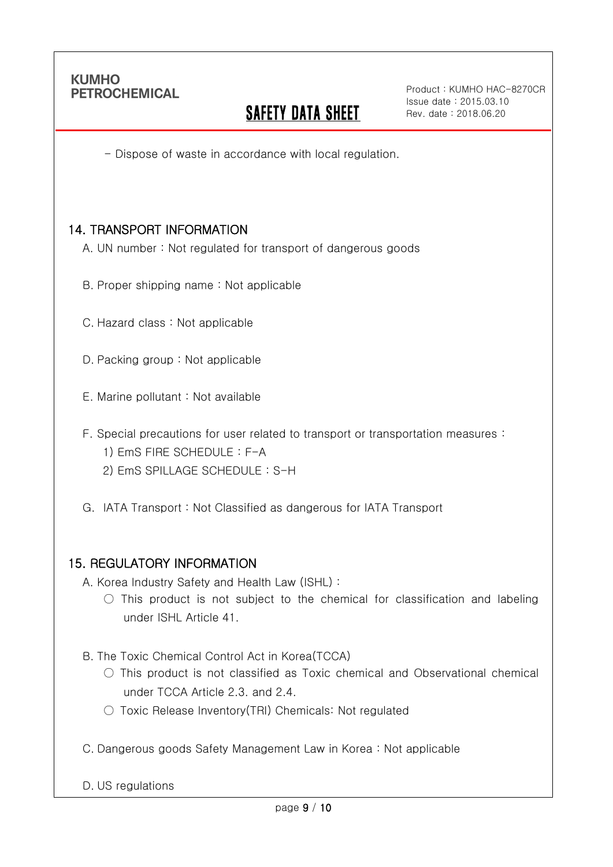Ī

## **SAFETY DATA SHEET**

Product : KUMHO HAC-8270CR Issue date : 2015.03.10 Rev. date : 2018.06.20

- Dispose of waste in accordance with local regulation.

### 14. TRANSPORT INFORMATION

A. UN number : Not regulated for transport of dangerous goods

- B. Proper shipping name : Not applicable
- C. Hazard class : Not applicable
- D. Packing group : Not applicable
- E. Marine pollutant : Not available
- F. Special precautions for user related to transport or transportation measures :
	- 1) EmS FIRE SCHEDULE : F-A
	- 2) EmS SPILLAGE SCHEDULE : S-H
- G. IATA Transport : Not Classified as dangerous for IATA Transport

#### 15. REGULATORY INFORMATION

A. Korea Industry Safety and Health Law (ISHL) :

 $\circ$  This product is not subject to the chemical for classification and labeling under ISHL Article 41.

B. The Toxic Chemical Control Act in Korea(TCCA)

- $\bigcirc$  This product is not classified as Toxic chemical and Observational chemical under TCCA Article 2.3. and 2.4.
- Toxic Release Inventory(TRI) Chemicals: Not regulated
- C. Dangerous goods Safety Management Law in Korea : Not applicable

D. US regulations